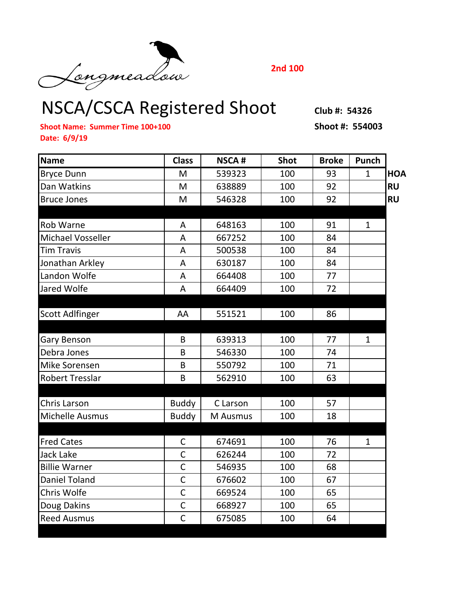NSCA/CSCA Registered Shoot **Club #: 54326**

**2nd 100**

**Shoot Name: Summer Time 100+100 Shoot #: 554003 Date: 6/9/19**

| <b>Name</b>              | <b>Class</b>   | <b>NSCA#</b> | <b>Shot</b> | <b>Broke</b> | Punch        |            |
|--------------------------|----------------|--------------|-------------|--------------|--------------|------------|
| <b>Bryce Dunn</b>        | M              | 539323       | 100         | 93           | $\mathbf{1}$ | <b>HOA</b> |
| Dan Watkins              | M              | 638889       | 100         | 92           |              | <b>RU</b>  |
| <b>Bruce Jones</b>       | M              | 546328       | 100         | 92           |              | <b>RU</b>  |
|                          |                |              |             |              |              |            |
| Rob Warne                | A              | 648163       | 100         | 91           | 1            |            |
| <b>Michael Vosseller</b> | A              | 667252       | 100         | 84           |              |            |
| <b>Tim Travis</b>        | A              | 500538       | 100         | 84           |              |            |
| Jonathan Arkley          | A              | 630187       | 100         | 84           |              |            |
| Landon Wolfe             | A              | 664408       | 100         | 77           |              |            |
| Jared Wolfe              | A              | 664409       | 100         | 72           |              |            |
|                          |                |              |             |              |              |            |
| <b>Scott Adlfinger</b>   | AA             | 551521       | 100         | 86           |              |            |
|                          |                |              |             |              |              |            |
| Gary Benson              | B              | 639313       | 100         | 77           | $\mathbf{1}$ |            |
| Debra Jones              | B              | 546330       | 100         | 74           |              |            |
| Mike Sorensen            | B              | 550792       | 100         | 71           |              |            |
| <b>Robert Tresslar</b>   | B              | 562910       | 100         | 63           |              |            |
|                          |                |              |             |              |              |            |
| <b>Chris Larson</b>      | <b>Buddy</b>   | C Larson     | 100         | 57           |              |            |
| <b>Michelle Ausmus</b>   | <b>Buddy</b>   | M Ausmus     | 100         | 18           |              |            |
|                          |                |              |             |              |              |            |
| <b>Fred Cates</b>        | $\mathsf C$    | 674691       | 100         | 76           | $\mathbf{1}$ |            |
| <b>Jack Lake</b>         | $\mathsf{C}$   | 626244       | 100         | 72           |              |            |
| <b>Billie Warner</b>     | $\overline{C}$ | 546935       | 100         | 68           |              |            |
| Daniel Toland            | $\mathsf{C}$   | 676602       | 100         | 67           |              |            |
| Chris Wolfe              | $\mathsf{C}$   | 669524       | 100         | 65           |              |            |
| Doug Dakins              | $\mathsf{C}$   | 668927       | 100         | 65           |              |            |
| <b>Reed Ausmus</b>       | $\mathsf{C}$   | 675085       | 100         | 64           |              |            |